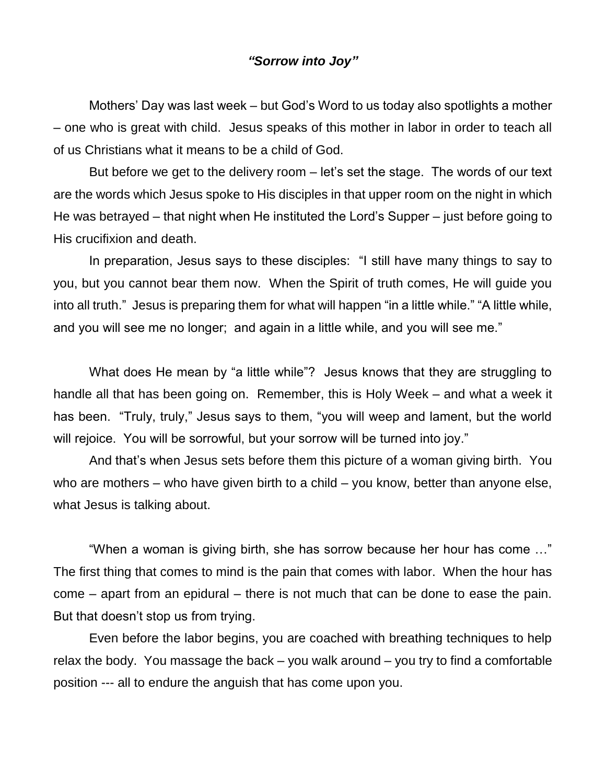## *"Sorrow into Joy"*

Mothers' Day was last week – but God's Word to us today also spotlights a mother – one who is great with child. Jesus speaks of this mother in labor in order to teach all of us Christians what it means to be a child of God.

But before we get to the delivery room – let's set the stage. The words of our text are the words which Jesus spoke to His disciples in that upper room on the night in which He was betrayed – that night when He instituted the Lord's Supper – just before going to His crucifixion and death.

In preparation, Jesus says to these disciples: "I still have many things to say to you, but you cannot bear them now. When the Spirit of truth comes, He will guide you into all truth." Jesus is preparing them for what will happen "in a little while." "A little while, and you will see me no longer; and again in a little while, and you will see me."

What does He mean by "a little while"? Jesus knows that they are struggling to handle all that has been going on. Remember, this is Holy Week – and what a week it has been. "Truly, truly," Jesus says to them, "you will weep and lament, but the world will rejoice. You will be sorrowful, but your sorrow will be turned into joy."

And that's when Jesus sets before them this picture of a woman giving birth. You who are mothers – who have given birth to a child – you know, better than anyone else, what Jesus is talking about.

"When a woman is giving birth, she has sorrow because her hour has come …" The first thing that comes to mind is the pain that comes with labor. When the hour has come – apart from an epidural – there is not much that can be done to ease the pain. But that doesn't stop us from trying.

Even before the labor begins, you are coached with breathing techniques to help relax the body. You massage the back – you walk around – you try to find a comfortable position --- all to endure the anguish that has come upon you.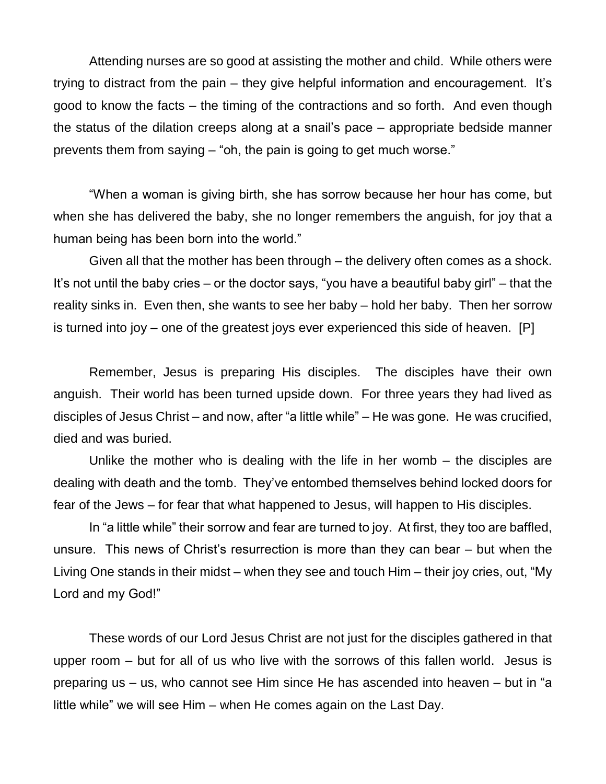Attending nurses are so good at assisting the mother and child. While others were trying to distract from the pain – they give helpful information and encouragement. It's good to know the facts – the timing of the contractions and so forth. And even though the status of the dilation creeps along at a snail's pace – appropriate bedside manner prevents them from saying – "oh, the pain is going to get much worse."

"When a woman is giving birth, she has sorrow because her hour has come, but when she has delivered the baby, she no longer remembers the anguish, for joy that a human being has been born into the world."

Given all that the mother has been through – the delivery often comes as a shock. It's not until the baby cries – or the doctor says, "you have a beautiful baby girl" – that the reality sinks in. Even then, she wants to see her baby – hold her baby. Then her sorrow is turned into joy – one of the greatest joys ever experienced this side of heaven. [P]

Remember, Jesus is preparing His disciples. The disciples have their own anguish. Their world has been turned upside down. For three years they had lived as disciples of Jesus Christ – and now, after "a little while" – He was gone. He was crucified, died and was buried.

Unlike the mother who is dealing with the life in her womb – the disciples are dealing with death and the tomb. They've entombed themselves behind locked doors for fear of the Jews – for fear that what happened to Jesus, will happen to His disciples.

In "a little while" their sorrow and fear are turned to joy. At first, they too are baffled, unsure. This news of Christ's resurrection is more than they can bear – but when the Living One stands in their midst – when they see and touch Him – their joy cries, out, "My Lord and my God!"

These words of our Lord Jesus Christ are not just for the disciples gathered in that upper room – but for all of us who live with the sorrows of this fallen world. Jesus is preparing us – us, who cannot see Him since He has ascended into heaven – but in "a little while" we will see Him – when He comes again on the Last Day.